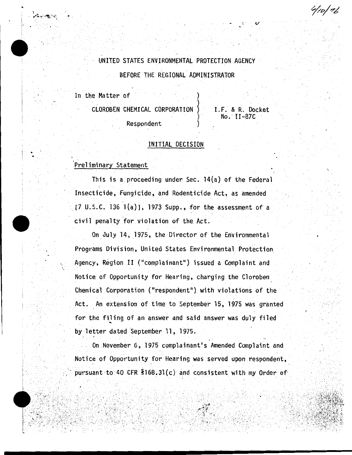UNITED STATES ENVIRONMENTAL PROTECTION AGENCY BEFORE THE REGIONAL ADMINISTRATOR

4/10/76

In the Matter of

CLOROBEN CHEMICAL CORPORATION I.F. & R. Docket  $No.$   $II-87C$ Respondent

#### INITIAL DECISION

## Preliminary Statement

This is a proceeding under Sec. 14(a) of the Federal Insecticide, Fungicide, and Rodenticide Act, as amended  $[7 \cup S.C. 136 1(a)], 1973 Supp.,$  for the assessment of a civil penalty for violation of the Act.

On July 14, 1975, the Director of the Environmental Programs Division, United States Environmental Protection Agency, Region II ("complainant") issued a Complaint and Notice of Opportunity for Hearing, charging the Cloroben Chemical Corporation ("respondent") with violations of the Act. An extension of time to September 15, 1975 was granted for the filing of an answer and said answer was duly filed by letter dated September 11, 1975.

On November 6, 1975 complainant's Amended Complaint and Notice of Opportunity for Hearing was served upon respondent, pursuant to 40 CFR \$168.31(c) and consistent with my Order of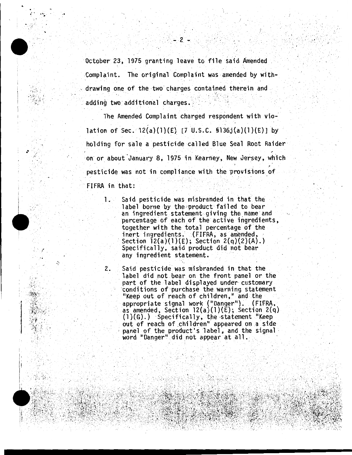October 23, 1975 granting leave to file said Amended Complaint. The original Complaint was amended by with drawing one of the two charges contained therein and adding two additional charges.

The Amended Complaint charged respondent with violation of Sec.  $12(a)(1)(E)$  [7 U.S.C. §136j(a)(1)(E)] by holding for sale a pesticide called Blue Seal Root Raider on or about January 8, 1975 in Kearney, New Jersey, which pesticide was not in compliance with the provisions of . FIFRA in that: ,···: ..  $\cdot$  .  $\cdot$ 

'·

... . ·t .·

.•

1. Said pesticide was misbranded in that the label borne by the product failed to bear an ingredient statement giving the\_name and percentage of each of the active ingredients, together with the total percentage of the inert ingredients. (FIFRA, as amended,<br>Section 12(a)(1)(E); Section 2(q)(2)(A).) Specifically, said product did not bear<br>any ingredient statement.

2. Said pesticide was misbranded in that the label did pot bear on the front panel or the part of the label displayed under customary conditions of purchase the warning statement "Keep out of reach of children," and the appropriate signal work (''Danger''). (FIFRA, as amended, Section 12(a)(1)(E); Section 2(q)<br>(1)(G).) Specifically, the statement "Keep out of reach of children" appeared on a side panel of the product's label, and the signal<br>word "Danger" did not appear at all.

 $\mathbb{R}^2$  $2 - 1$  . l

. ·,

 $\cdot$  . · I

.·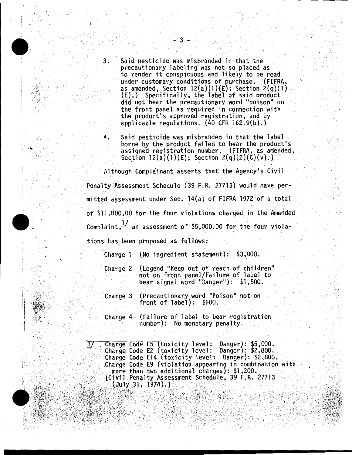- Said pesticide was misbranded in that the 3. precautionary labeling was not so placed as to render it conspicuous and likely to be read under customary conditions of purchase. (FIFRA, as amended, Section  $12(a)(1)(E)$ ; Section  $2(q)(1)$ (E).) Specifically, the label of said product did not bear the precautionary word "poison" on the front panel as required in connection with the product's approved registration, and by applicable requiations.  $(40$  CFR  $162.9(b)$ .)
- Said pesticide was misbranded in that the label 4. borne by the product failed to bear the product's assigned registration number. (FIFRA, as amended, Section  $12(a)(1)(E)$ ; Section  $2(q)(2)(C)(v)$ .)

Although Complainant asserts that the Agency's Civil Penalty Assessment Schedule (39 F.R. 27713) would have permitted assessment under Sec. 14(a) of FIFRA 1972 of a total of \$11,800.00 for the four violations charged in the Amended Complaint.  $\frac{1}{2}$  an assessment of \$5,000.00 for the four viola-

tions has been proposed as follows:

Charge  $1$  (No ingredient statement): \$3,000.

- (Legend "Keep out of reach of children" Charge 2 not on front panel/Failure of label to bear signal word "Danger"): \$1,500.
- (Precautionary word "Poison" not on Charge 3 front of  $label): $500.$
- (Failure of label to bear registration Charge 4 number): No monetary penalty.

Charge Code E5 (toxicity level: Danger): \$5,000. Charge Code E2 (toxicity level: Danger): \$2,800. Charge Code E14 (toxicity level: Danger): \$2,800. Charge Code E9 (violation appearing in combination with more than two additional charges): \$1,200. [Civil Penalty Assessment Schedule, 39 F.R. 27713 (July 31, 1974).]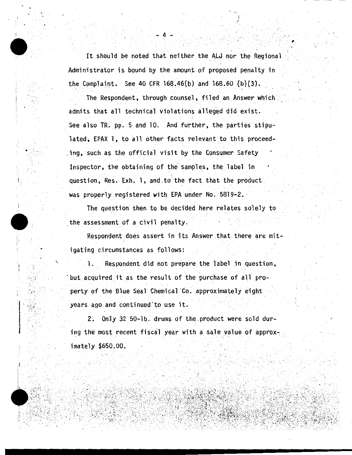It should be noted that neither the ALJ nor the Regional Administrator is bound by the amount of proposed penalty in the Complaint. See 40 CFR 168.46(b) and  $168.60$  (b)(3).

The Respondent, through counsel, filed an Answer which admits that all technical violations alleged did exist. See also TR. pp. 5 and 10. And further, the parties stipulated, EPAX 1, to all other facts relevant to this proceeding, such as the official visit by the Consumer Safety Inspector, the obtaining of the samples, the label in question, Res. Exh. 1, and to the fact that the product was properly registered with EPA under No. 5819-2.

The question then to be decided here relates solely to the assessment of a civil penalty.

Respondent does assert in its Answer that there are mitigating circumstances as follows:

Respondent did not prepare the label in question, 1. but acquired it as the result of the purchase of all property of the Blue Seal Chemical Co. approximately eight years ago and continued to use it.

Only 32 50-1b. drums of the product were sold dur- $2.1$ ing the most recent fiscal year with a sale value of approximately \$650.00.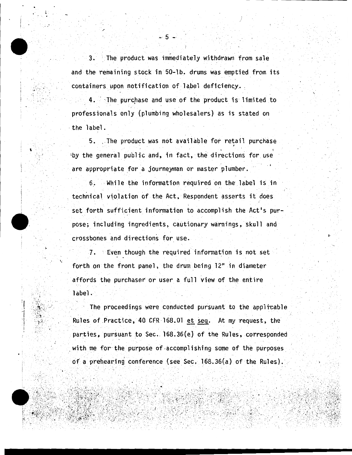3. The product was immediately withdrawn from sale and the remaining stock in 50-1b. drums was emptied from its containers upon notification of label deficiency.

The purchase and use of the product is limited to professionals only (plumbing wholesalers) as is stated on the label.

5. The product was not available for retail purchase by the general public and, in fact, the directions for use are appropriate for a journeyman or master plumber.

6. While the information required on the label is in technical violation of the Act, Respondent asserts it does set forth sufficient information to accomplish the Act's purpose; including ingredients, cautionary warnings, skull and crossbones and directions for use.

7. Even though the required information is not set forth on the front panel, the drum being 12" in diameter affords the purchaser or user a full view of the entire label.

The proceedings were conducted pursuant to the applicable Rules of Practice, 40 CFR 168.01 et seq. At my request, the parties, pursuant to Sec. 168.36(e) of the Rules, corresponded with me for the purpose of accomplishing some of the purposes of a prehearing conference (see Sec.  $168.36(a)$  of the Rules).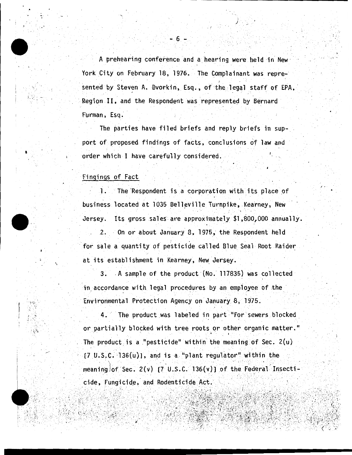A prehearing conference and a hearing were held in New York City on February 18, 1976. The Complainant was represented by Steven A. Dvorkin, Esq., of the legal staff of EPA, Region II, and the Respondent was represented by Bernard Furman, Esq.

The parties have filed briefs and reply briefs in support of proposed findings of facts, conclusions of law and order which I have carefully considered.

## Fingings of Fact

The Respondent is a corporation with its place of  $1.11$ business located at 1035 Belleville Turnpike, Kearney, New Its gross sales are approximately \$1,800,000 annually. Jersey.

On or about January 8, 1975, the Respondent held 2. for sale a quantity of pesticide called Blue Seal Root Raider at its establishment in Kearney, New Jersey.

3. A sample of the product (No. 117835) was collected in accordance with legal procedures by an employee of the Environmental Protection Agency on January 8, 1975.

 $4.$ The product was labeled in part "For sewers blocked or partially blocked with tree roots or other organic matter." The product is a "pesticide" within the meaning of Sec.  $2(u)$  $[7 \t{U.S.C. } 136(u)]$ , and is a "plant regulator" within the meaning of Sec.  $2(v)$  (7 U.S.C. 136(v)) of the Federal Insecticide, Fungicide, and Rodenticide Act.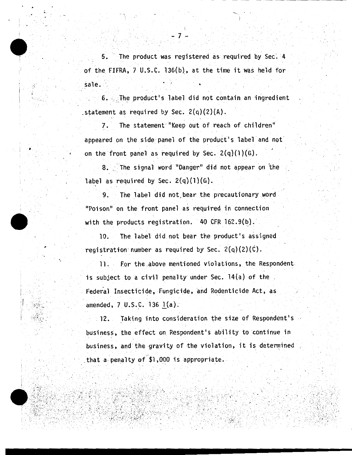5. The product was registered as required by Sec. 4 of the FIFRA, 7 U.S.C. 136(b), at the time it was held for sale. · .. . .' ..

6. The product's label did not contain an ingredient statement as required by Sec.  $2(q)(2)(A)$ .

7. The statement "Keep out of reach of children" appeared on the side panel of the product's label and not on the front panel as required by Sec.  $2(q)(1)(G)$ .

8. The signal word "Danger" did not appear on the label as required by Sec.  $2(q)(1)(G)$ .

9. The label did not bear the precautionary word "Poison'' on the front panel as required in connection with the products registration.  $40$  CFR 162.9(b).

10. The label did not bear the product's assigned registration number as required by Sec.  $2(q)(2)(C)$ .

11. for the .above mentioned violations, the Respondent is subject to a civil penalty under Sec.  $14(a)$  of the Federal Insecticide, Fungicide, and Rodenticide Act, as amended,  $7 \,$  U.S.C. 136 1(a).

12. Taking into consideration the size of Respondent's business, the effect on Respondent's ability to continue in business, and the gravity of the violation, it is determined that a penalty of \$1,000 is appropriate.

·-. . .

 $: \mathbb{R}^2 \rightarrow \mathbb{R}$ 

/

 $\cdot$  .  $\cdot$ 

•

 $\lceil$  .  $\mathbf{r}$  ·.

i  $\mathbb{R}^+$ r

 $\cdot$  .

 $\sim$  . ,  $\lambda$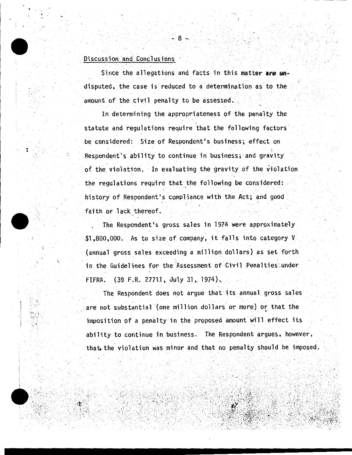# Discussion and Conclusions

Since the allegations and facts in this matter are undisputed, the case is reduced to a determination as to the amount of the civil penalty to be assessed.

In determining the appropriateness of the penalty the statute and regulations require that the following factors be considered: Size of Respondent's business; effect on Respondent's ability to continue in business; and gravity of the violation. In evaluating the gravity of the violation the regulations require that the following be considered: history of Respondent's compliance with the Act; and good faith or lack thereof.

The Respondent's gross sales in 1974 were approximately \$1,800,000. As to size of company, it falls into category V (annual gross sales exceeding a million dollars) as set forth in the Guidelines for the Assessment of Civil Penalties under FIFRA. (39 F.R. 27711, July 31, 1974).

The Respondent does not argue that its annual gross sales are not substantial (one million dollars or more) or that the imposition of a penalty in the proposed amount will effect its ability to continue in business. The Respondent argues, however, that the violation was minor and that no penalty should be imposed.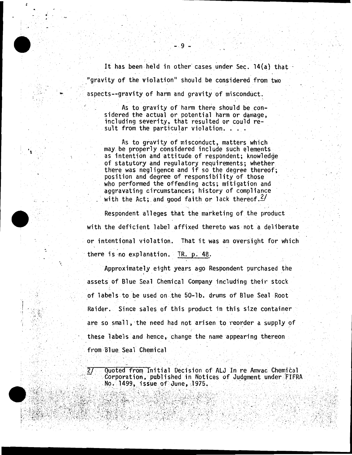It has been held in other cases under Sec. 14(a) that "gravity of the violation" should be considered from two aspects--gravity of harm and gravity of misconduct.

As to gravity of harm there should be considered the actual or potential harm or damage. including severity, that resulted or could result from the particular violation. . . .

As to gravity of misconduct, matters which may be properly considered include such elements as intention and attitude of respondent; knowledge of statutory and regulatory requirements; whether there was negligence and if so the degree thereof; position and degree of responsibility of those who performed the offending acts; mitigation and aggravating circumstances; history of compliance with the Act; and good faith or lack thereof.  $2/$ 

Respondent alleges that the marketing of the product with the deficient label affixed thereto was not a deliberate or intentional violation. That it was an oversight for which there is no explanation. TR. p. 48.

Approximately eight years ago Respondent purchased the assets of Blue Seal Chemical Company including their stock of labels to be used on the 50-1b. drums of Blue Seal Root Raider. Since sales of this product in this size container are so small, the need had not arisen to reorder a supply of these labels and hence, change the name appearing thereon from Blue Seal Chemical

Quoted from Initial Decision of ALJ In re Amvac Chemical Corporation, published in Notices of Judgment under FIFRA No. 1499, issue of June, 1975.

 $\overline{27}$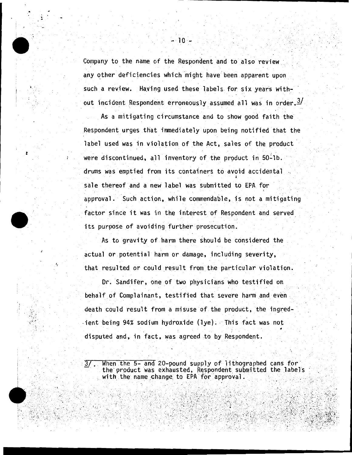Company to the name of the Respondent and to also review any other deficiencies which might have been apparent upon such a review. Having used these labels for six years without incident Respondent erroneously assumed all was in order.  $\frac{3}{2}$ 

As a mitigating circumstance and to show good faith the Respondent urges that immediately upon being notified that the label used was in violation of the Act, sales of the product were discontinued, all inventory of the product in 50-1b. drums was emptied from its containers to avoid accidental sale thereof and a new label was submitted to EPA for approval. Such action, while commendable, is not a mitigating factor since it was in the interest of Respondent and served its purpose of avoiding further prosecution.

As to gravity of harm there should be considered the actual or potential harm or damage, including severity, that resulted or could result from the particular violation.

Dr. Sandifer, one of two physicians who testified on behalf of Complainant, testified that severe harm and even death could result from a misuse of the product, the ingredient being 94% sodium hydroxide (lye). This fact was not disputed and, in fact, was agreed to by Respondent.

When the 5- and 20-pound supply of lithographed cans for  $3/\sqrt{2}$ the product was exhausted, Respondent submitted the labels with the name change to EPA for approval.

- 10 -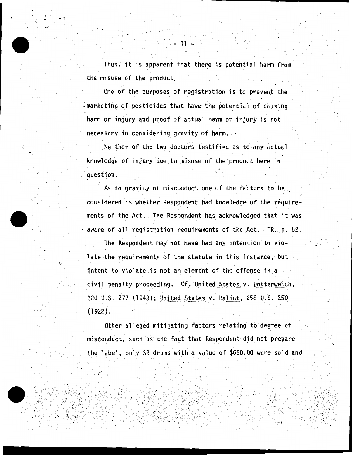Thus, it is apparent that there is potential harm from the misuse of the product.

One of the purposes of registration is to prevent the marketing of pesticides that have the potential of causing harm or injury and proof of actual harm or injury is not necessary in considering gravity of harm.

Neither of the two doctors testified as to any actual knowledge of injury due to misuse of the product here in question.

As to gravity of misconduct one of the factors to be considered is whether Respondent had knowledge of the requirements of the Act. The Respondent has acknowledged that it was aware of all registration requirements of the Act. TR. p. 62.

The Respondent may not have had any intention to violate the requirements of the statute in this instance, but intent to violate is not an element of the offense in a civil penalty proceeding. Cf. United States v. Dotterweich, 320 U.S. 277 (1943); United States v. Balint, 258 U.S. 250  $(1922)$ .

Other alleged mitigating factors relating to degree of misconduct, such as the fact that Respondent did not prepare the label, only 32 drums with a value of \$650.00 were sold and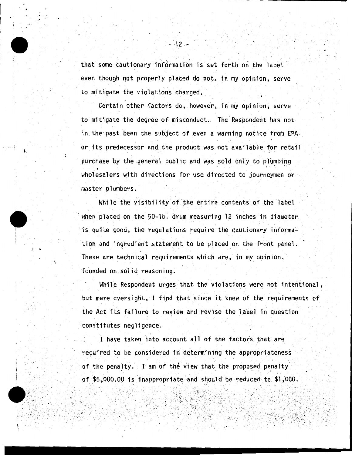that some cautionary information is set forth on the label even though not properly placed do not, in my opinion, serve to mitigate the violations charged.

Certain other factors do, however, in my opinion, serve to mitigate the degree of misconduct. The' Respondent has not in the past been the subject of even a warning notice from EPA. or its predecessor and the product was not available for retail purchase by the general public and was sold only to plumbing wholesalers with directions for use directed to journeymen or master plumbers.

 $\mathbf{r}_i^{\left(1\right)}$ 

):.

...

While the visibility of the entire contents of the label when placed on the 50-lb. drum measuring  $12$  inches in diameter is quite good, the regulations require the cautionary information and ingredient statement to be placed on the front panel. These are technical requirements which are, in my opinion, founded on solid reasoning.

While Respondent urges that the violations were not intentional, but mere oversight, I find that since it knew of the requirements of the Act its failure to review and revise the label in question constitutes negligence.

I have taken into account all of the factors that are required to be considered in determining the appropriateness of the penalty. I am of the view that the proposed penalty of  $$5,000.00$  is inappropriate and should be reduced to  $$1,000$ .